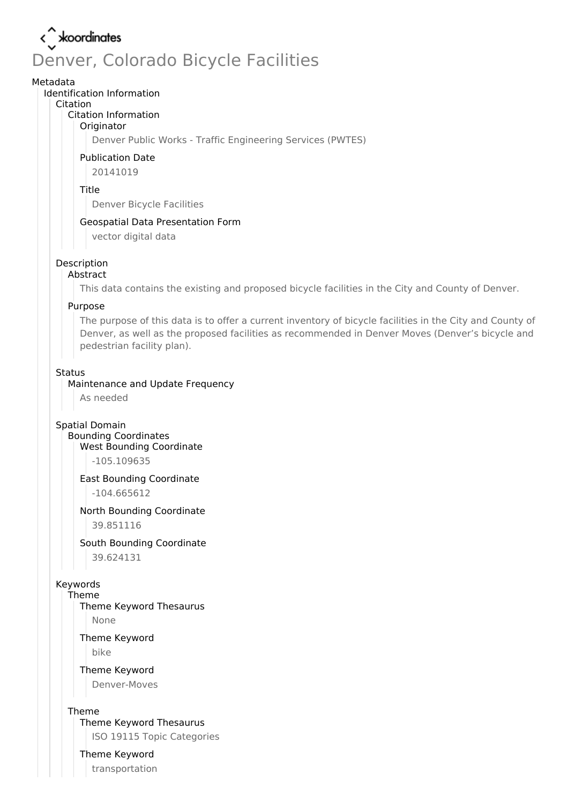# < xoordinates Denver, Colorado Bicycle Facilities

#### Metadata

#### Identification Information

#### Citation

### Citation Information

### **Originator**

Denver Public Works - Traffic Engineering Services (PWTES)

### Publication Date

20141019

#### Title

Denver Bicycle Facilities

### Geospatial Data Presentation Form

vector digital data

#### Description

### Abstract

This data contains the existing and proposed bicycle facilities in the City and County of Denver.

#### Purpose

The purpose of this data is to offer a current inventory of bicycle facilities in the City and County of Denver, as well as the proposed facilities as recommended in Denver Moves (Denver's bicycle and pedestrian facility plan).

#### Status

### Maintenance and Update Frequency

As needed

Spatial Domain

Bounding Coordinates West Bounding Coordinate

-105.109635

#### East Bounding Coordinate

-104.665612

#### North Bounding Coordinate

39.851116

#### South Bounding Coordinate

39.624131

#### Keywords

Theme

Theme Keyword Thesaurus

None

#### Theme Keyword

bike

### Theme Keyword

Denver-Moves

#### Theme

Theme Keyword Thesaurus

ISO 19115 Topic Categories

#### Theme Keyword

transportation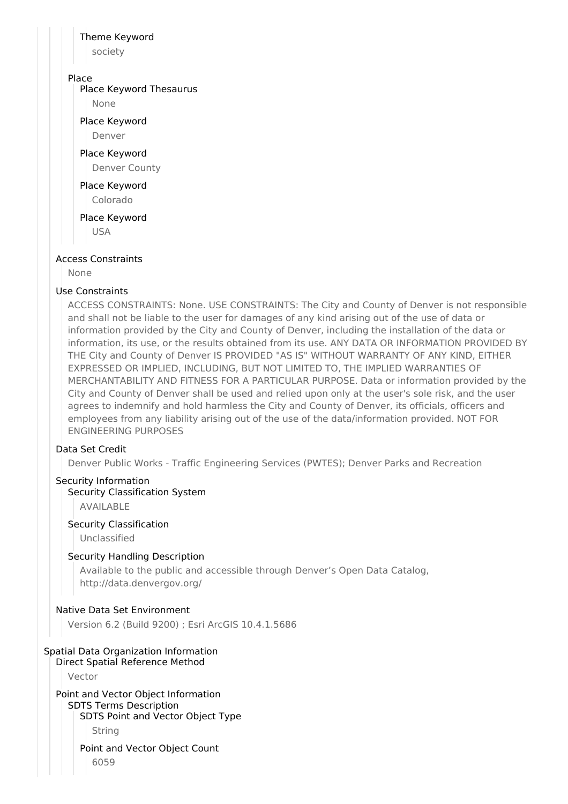### Theme Keyword

society

### Place

Place Keyword Thesaurus

None

Place Keyword

Denver

Place Keyword

Denver County

Place Keyword Colorado

Place Keyword

USA

### Access Constraints

None

### Use Constraints

ACCESS CONSTRAINTS: None. USE CONSTRAINTS: The City and County of Denver is not responsible and shall not be liable to the user for damages of any kind arising out of the use of data or information provided by the City and County of Denver, including the installation of the data or information, its use, or the results obtained from its use. ANY DATA OR INFORMATION PROVIDED BY THE City and County of Denver IS PROVIDED "AS IS" WITHOUT WARRANTY OF ANY KIND, EITHER EXPRESSED OR IMPLIED, INCLUDING, BUT NOT LIMITED TO, THE IMPLIED WARRANTIES OF MERCHANTABILITY AND FITNESS FOR A PARTICULAR PURPOSE. Data or information provided by the City and County of Denver shall be used and relied upon only at the user's sole risk, and the user agrees to indemnify and hold harmless the City and County of Denver, its officials, officers and employees from any liability arising out of the use of the data/information provided. NOT FOR ENGINEERING PURPOSES

### Data Set Credit

Denver Public Works - Traffic Engineering Services (PWTES); Denver Parks and Recreation

### Security Information

### Security Classification System

AVAILABLE

### Security Classification

Unclassified

### Security Handling Description

Available to the public and accessible through Denver's Open Data Catalog, http://data.denvergov.org/

### Native Data Set Environment

Version 6.2 (Build 9200) ; Esri ArcGIS 10.4.1.5686

# Spatial Data Organization Information

Direct Spatial Reference Method

Vector

Point and Vector Object Information SDTS Terms Description SDTS Point and Vector Object Type String

Point and Vector Object Count 6059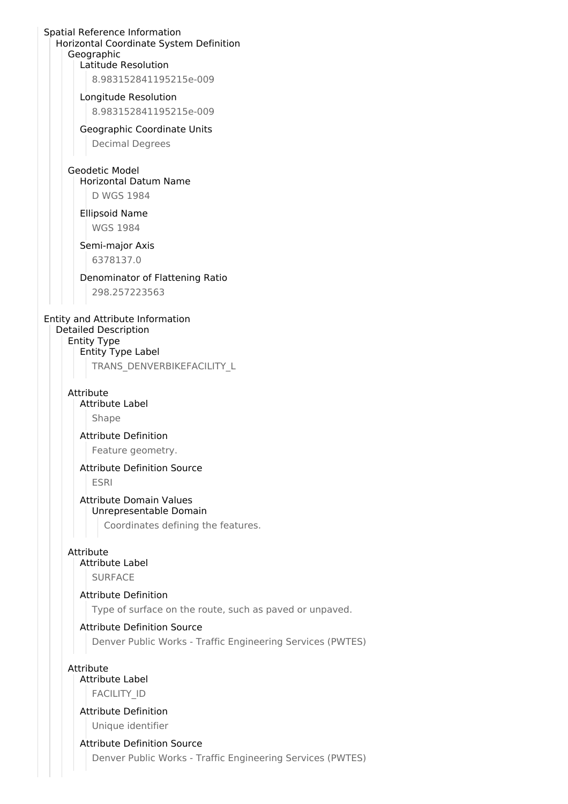#### Spatial Reference Information Horizontal Coordinate System Definition Geographic Latitude Resolution

8.983152841195215e-009

Longitude Resolution 8.983152841195215e-009

Geographic Coordinate Units Decimal Degrees

### Geodetic Model Horizontal Datum Name

D WGS 1984

#### Ellipsoid Name WGS 1984

### Semi-major Axis

6378137.0

### Denominator of Flattening Ratio

298.257223563

### Entity and Attribute Information Detailed Description Entity Type Entity Type Label

TRANS\_DENVERBIKEFACILITY\_L

#### Attribute

## Attribute Label

Shape

### Attribute Definition

Feature geometry.

### Attribute Definition Source

ESRI

### Attribute Domain Values Unrepresentable Domain

Coordinates defining the features.

### Attribute

### Attribute Label

SURFACE

### Attribute Definition

Type of surface on the route, such as paved or unpaved.

### Attribute Definition Source

Denver Public Works - Traffic Engineering Services (PWTES)

### Attribute

Attribute Label FACILITY\_ID

# Attribute Definition

Unique identifier

### Attribute Definition Source

Denver Public Works - Traffic Engineering Services (PWTES)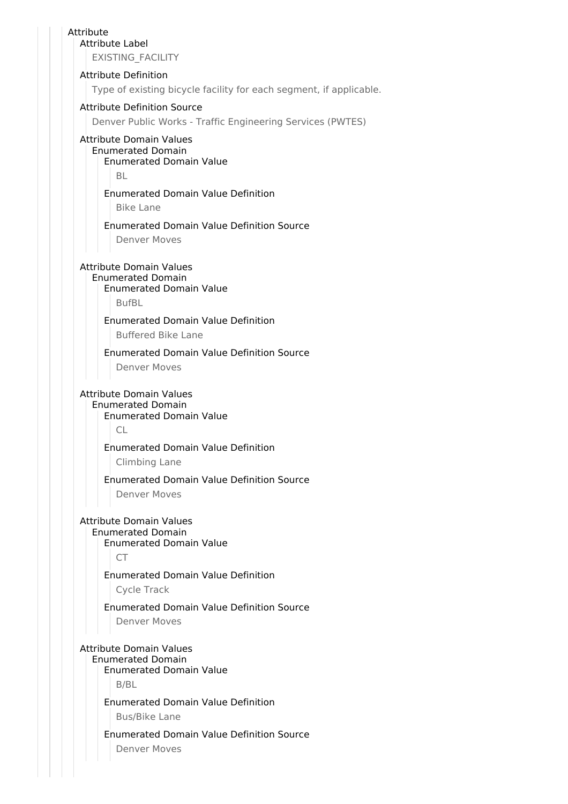| Attribute<br><b>Attribute Label</b>                                                                                                                    |
|--------------------------------------------------------------------------------------------------------------------------------------------------------|
| EXISTING_FACILITY                                                                                                                                      |
| <b>Attribute Definition</b>                                                                                                                            |
| Type of existing bicycle facility for each segment, if applicable.                                                                                     |
| <b>Attribute Definition Source</b>                                                                                                                     |
| Denver Public Works - Traffic Engineering Services (PWTES)                                                                                             |
| <b>Attribute Domain Values</b><br><b>Enumerated Domain</b><br><b>Enumerated Domain Value</b><br><b>BL</b>                                              |
| <b>Enumerated Domain Value Definition</b><br><b>Bike Lane</b>                                                                                          |
| <b>Enumerated Domain Value Definition Source</b>                                                                                                       |
| Denver Moves                                                                                                                                           |
| <b>Attribute Domain Values</b>                                                                                                                         |
| <b>Enumerated Domain</b><br><b>Enumerated Domain Value</b><br><b>BufBL</b>                                                                             |
| <b>Enumerated Domain Value Definition</b>                                                                                                              |
| <b>Buffered Bike Lane</b>                                                                                                                              |
| <b>Enumerated Domain Value Definition Source</b>                                                                                                       |
| Denver Moves                                                                                                                                           |
| <b>Attribute Domain Values</b><br><b>Enumerated Domain</b><br><b>Enumerated Domain Value</b><br><b>CL</b><br><b>Enumerated Domain Value Definition</b> |
| <b>Climbing Lane</b>                                                                                                                                   |
| <b>Enumerated Domain Value Definition Source</b><br><b>Denver Moves</b>                                                                                |
| <b>Attribute Domain Values</b><br><b>Enumerated Domain</b><br><b>Enumerated Domain Value</b><br><b>CT</b>                                              |
| <b>Enumerated Domain Value Definition</b><br>Cycle Track                                                                                               |
| <b>Enumerated Domain Value Definition Source</b><br><b>Denver Moves</b>                                                                                |
| <b>Attribute Domain Values</b><br><b>Enumerated Domain</b><br><b>Enumerated Domain Value</b><br>B/BL                                                   |
| <b>Enumerated Domain Value Definition</b><br><b>Bus/Bike Lane</b>                                                                                      |
| <b>Enumerated Domain Value Definition Source</b>                                                                                                       |
| <b>Denver Moves</b>                                                                                                                                    |
|                                                                                                                                                        |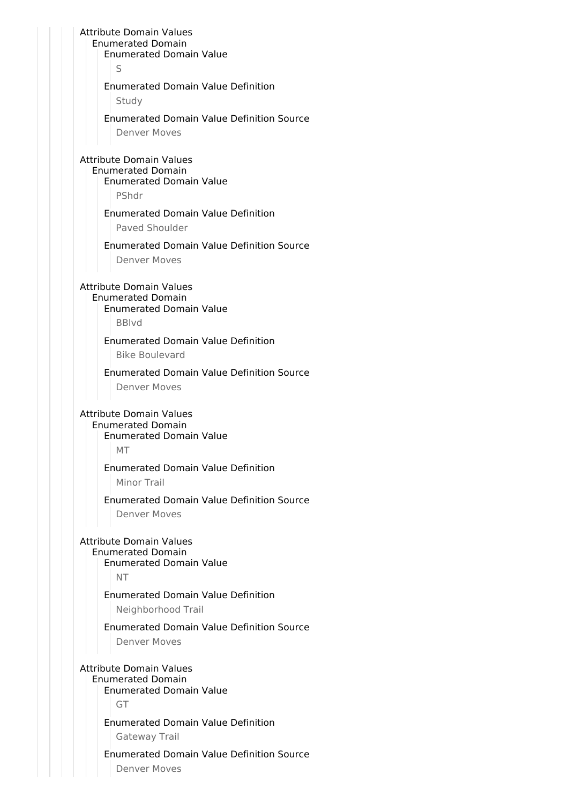| <b>Enumerated Domain</b>                                   |  |  |
|------------------------------------------------------------|--|--|
| <b>Enumerated Domain Value</b>                             |  |  |
| S                                                          |  |  |
| <b>Enumerated Domain Value Definition</b>                  |  |  |
| Study                                                      |  |  |
| <b>Enumerated Domain Value Definition Source</b>           |  |  |
| <b>Denver Moves</b>                                        |  |  |
| <b>Attribute Domain Values</b>                             |  |  |
| <b>Enumerated Domain</b>                                   |  |  |
| <b>Enumerated Domain Value</b>                             |  |  |
| PShdr                                                      |  |  |
| <b>Enumerated Domain Value Definition</b>                  |  |  |
| Paved Shoulder                                             |  |  |
| <b>Enumerated Domain Value Definition Source</b>           |  |  |
| <b>Denver Moves</b>                                        |  |  |
|                                                            |  |  |
| <b>Attribute Domain Values</b>                             |  |  |
| <b>Enumerated Domain</b><br><b>Enumerated Domain Value</b> |  |  |
| <b>BBIvd</b>                                               |  |  |
| <b>Enumerated Domain Value Definition</b>                  |  |  |
| <b>Bike Boulevard</b>                                      |  |  |
|                                                            |  |  |
| <b>Enumerated Domain Value Definition Source</b>           |  |  |
|                                                            |  |  |
| Denver Moves                                               |  |  |
|                                                            |  |  |
| <b>Attribute Domain Values</b><br><b>Enumerated Domain</b> |  |  |
| <b>Enumerated Domain Value</b>                             |  |  |
| MT                                                         |  |  |
| <b>Enumerated Domain Value Definition</b>                  |  |  |
| <b>Minor Trail</b>                                         |  |  |
| <b>Enumerated Domain Value Definition Source</b>           |  |  |
| <b>Denver Moves</b>                                        |  |  |
|                                                            |  |  |
| <b>Attribute Domain Values</b>                             |  |  |
| <b>Enumerated Domain</b>                                   |  |  |
| <b>Enumerated Domain Value</b><br><b>NT</b>                |  |  |
|                                                            |  |  |
| <b>Enumerated Domain Value Definition</b>                  |  |  |
| Neighborhood Trail                                         |  |  |
| <b>Enumerated Domain Value Definition Source</b>           |  |  |
| <b>Denver Moves</b>                                        |  |  |
|                                                            |  |  |
| <b>Attribute Domain Values</b><br><b>Enumerated Domain</b> |  |  |
| <b>Enumerated Domain Value</b>                             |  |  |
| GT                                                         |  |  |
| <b>Enumerated Domain Value Definition</b>                  |  |  |
| Gateway Trail                                              |  |  |
| <b>Enumerated Domain Value Definition Source</b>           |  |  |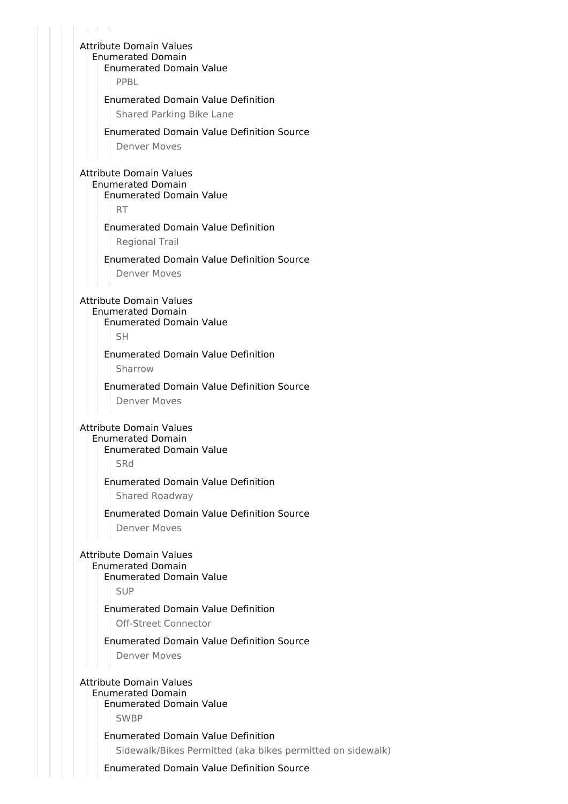$1 - 1 - 1$ Attribute Domain Values Enumerated Domain Enumerated Domain Value PPBL Enumerated Domain Value Definition Shared Parking Bike Lane Enumerated Domain Value Definition Source Denver Moves Attribute Domain Values Enumerated Domain Enumerated Domain Value RT Enumerated Domain Value Definition Regional Trail Enumerated Domain Value Definition Source Denver Moves Attribute Domain Values Enumerated Domain Enumerated Domain Value SH Enumerated Domain Value Definition Sharrow Enumerated Domain Value Definition Source Denver Moves Attribute Domain Values Enumerated Domain Enumerated Domain Value SRd Enumerated Domain Value Definition Shared Roadway Enumerated Domain Value Definition Source Denver Moves Attribute Domain Values Enumerated Domain Enumerated Domain Value SUP Enumerated Domain Value Definition Off-Street Connector Enumerated Domain Value Definition Source Denver Moves Attribute Domain Values Enumerated Domain Enumerated Domain Value SWBP Enumerated Domain Value Definition Sidewalk/Bikes Permitted (aka bikes permitted on sidewalk)

Enumerated Domain Value Definition Source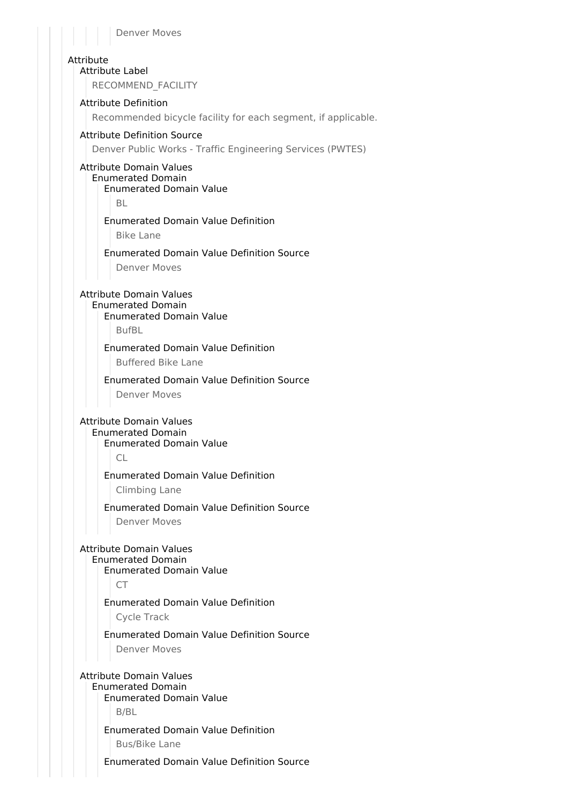#### Denver Moves

#### Attribute

Attribute Label

RECOMMEND\_FACILITY

#### Attribute Definition

Recommended bicycle facility for each segment, if applicable.

#### Attribute Definition Source

Denver Public Works - Traffic Engineering Services (PWTES)

### Attribute Domain Values Enumerated Domain

Enumerated Domain Value

BL

### Enumerated Domain Value Definition

Bike Lane

### Enumerated Domain Value Definition Source

Denver Moves

### Attribute Domain Values Enumerated Domain

### Enumerated Domain Value

BufBL

#### Enumerated Domain Value Definition

Buffered Bike Lane

#### Enumerated Domain Value Definition Source

Denver Moves

#### Attribute Domain Values

Enumerated Domain Enumerated Domain Value

 $\cap$ 

### Enumerated Domain Value Definition

Climbing Lane

#### Enumerated Domain Value Definition Source

Denver Moves

#### Attribute Domain Values

#### Enumerated Domain

Enumerated Domain Value

 $CT$ 

### Enumerated Domain Value Definition

Cycle Track

# Enumerated Domain Value Definition Source

Denver Moves

### Attribute Domain Values

Enumerated Domain Enumerated Domain Value B/BL

### Enumerated Domain Value Definition

Bus/Bike Lane

#### Enumerated Domain Value Definition Source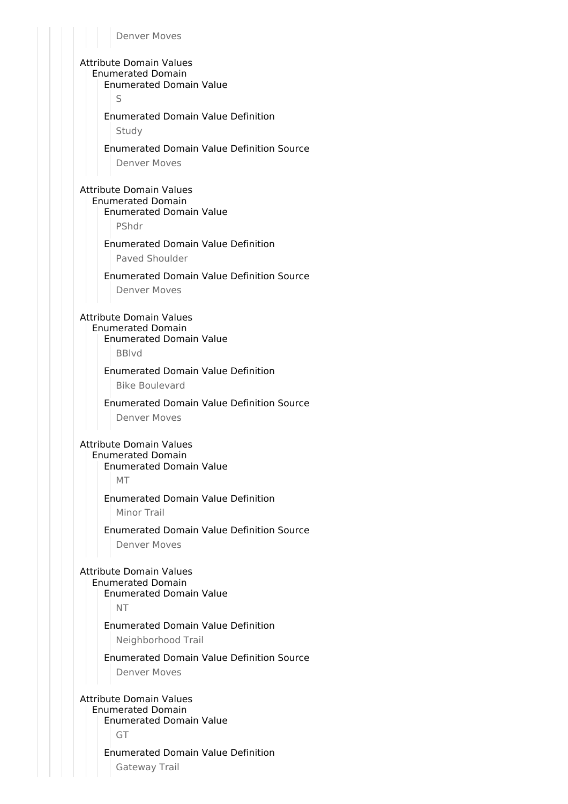Attribute Domain Values Enumerated Domain Enumerated Domain Value S Enumerated Domain Value Definition Study Enumerated Domain Value Definition Source Denver Moves Attribute Domain Values Enumerated Domain Enumerated Domain Value PShdr Enumerated Domain Value Definition Paved Shoulder Enumerated Domain Value Definition Source Denver Moves Attribute Domain Values Enumerated Domain Enumerated Domain Value BBlvd Enumerated Domain Value Definition Bike Boulevard Enumerated Domain Value Definition Source Denver Moves Attribute Domain Values Enumerated Domain Enumerated Domain Value MT Enumerated Domain Value Definition Minor Trail Enumerated Domain Value Definition Source Denver Moves Attribute Domain Values Enumerated Domain Enumerated Domain Value NT Enumerated Domain Value Definition Neighborhood Trail Enumerated Domain Value Definition Source Denver Moves Attribute Domain Values

Enumerated Domain Enumerated Domain Value

GT

#### Enumerated Domain Value Definition

Gateway Trail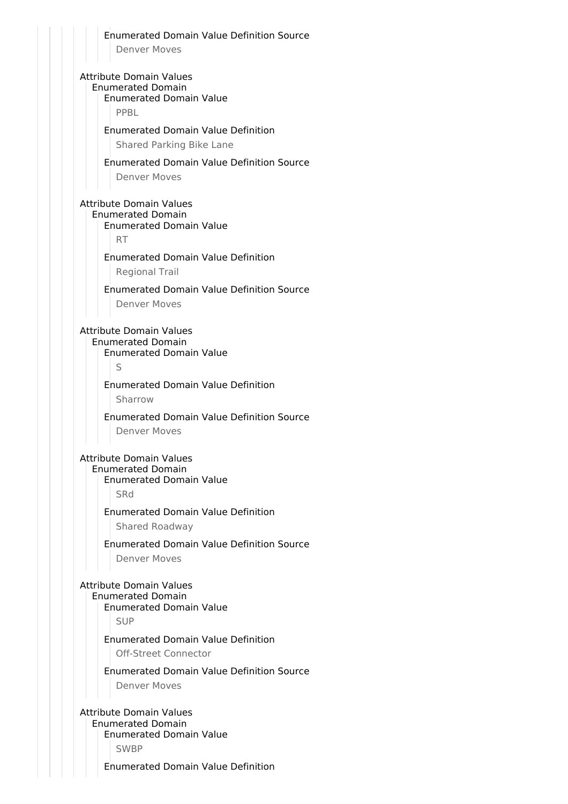Enumerated Domain Value Definition Source Denver Moves Attribute Domain Values Enumerated Domain Enumerated Domain Value PPBL Enumerated Domain Value Definition Shared Parking Bike Lane Enumerated Domain Value Definition Source Denver Moves Attribute Domain Values Enumerated Domain Enumerated Domain Value RT Enumerated Domain Value Definition Regional Trail Enumerated Domain Value Definition Source Denver Moves Attribute Domain Values Enumerated Domain Enumerated Domain Value S Enumerated Domain Value Definition Sharrow Enumerated Domain Value Definition Source Denver Moves Attribute Domain Values Enumerated Domain Enumerated Domain Value **SRd** Enumerated Domain Value Definition Shared Roadway Enumerated Domain Value Definition Source Denver Moves Attribute Domain Values Enumerated Domain Enumerated Domain Value SUP Enumerated Domain Value Definition Off-Street Connector Enumerated Domain Value Definition Source Denver Moves Attribute Domain Values Enumerated Domain Enumerated Domain Value SWBP

Enumerated Domain Value Definition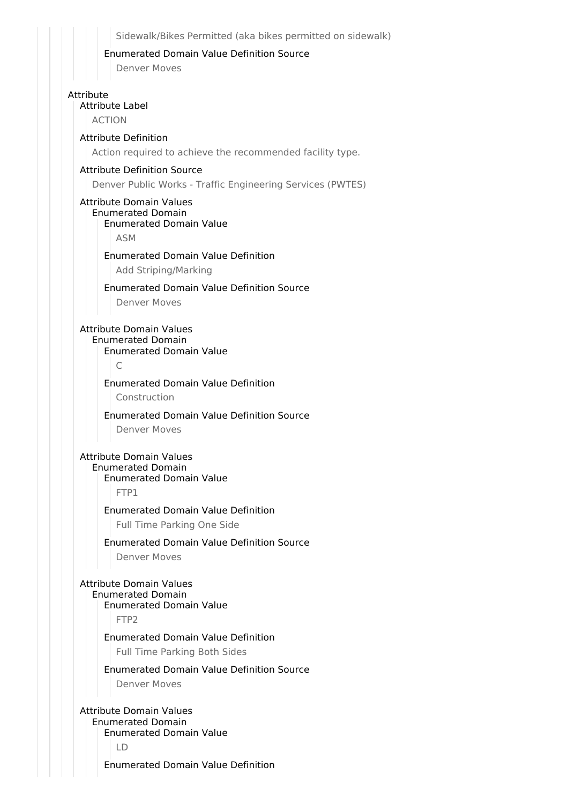Sidewalk/Bikes Permitted (aka bikes permitted on sidewalk)

#### Enumerated Domain Value Definition Source

Denver Moves

### Attribute

Attribute Label

ACTION

### Attribute Definition

Action required to achieve the recommended facility type.

### Attribute Definition Source

Denver Public Works - Traffic Engineering Services (PWTES)

### Attribute Domain Values

#### Enumerated Domain Enumerated Domain Value

ASM

### Enumerated Domain Value Definition

Add Striping/Marking

### Enumerated Domain Value Definition Source

Denver Moves

#### Attribute Domain Values Enumerated Domain

Enumerated Domain Value

### $\subset$

### Enumerated Domain Value Definition

Construction

#### Enumerated Domain Value Definition Source

Denver Moves

#### Attribute Domain Values Enumerated Domain

Enumerated Domain Value

FTP1

### Enumerated Domain Value Definition

Full Time Parking One Side

### Enumerated Domain Value Definition Source

Denver Moves

### Attribute Domain Values

Enumerated Domain Enumerated Domain Value

FTP2

### Enumerated Domain Value Definition

Full Time Parking Both Sides

### Enumerated Domain Value Definition Source

Denver Moves

#### Attribute Domain Values Enumerated Domain Enumerated Domain Value

LD

Enumerated Domain Value Definition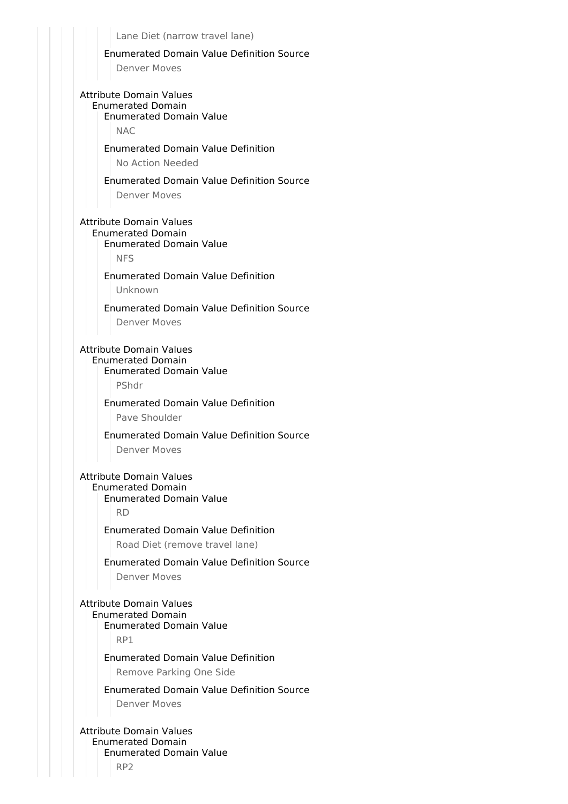Lane Diet (narrow travel lane)

#### Enumerated Domain Value Definition Source

Denver Moves

### Attribute Domain Values Enumerated Domain Enumerated Domain Value

NAC

#### Enumerated Domain Value Definition

No Action Needed

### Enumerated Domain Value Definition Source

Denver Moves

#### Attribute Domain Values Enumerated Domain

#### Enumerated Domain Value

NFS

### Enumerated Domain Value Definition

Unknown

### Enumerated Domain Value Definition Source

Denver Moves

### Attribute Domain Values

Enumerated Domain

# Enumerated Domain Value

PShdr

### Enumerated Domain Value Definition

Pave Shoulder

#### Enumerated Domain Value Definition Source

Denver Moves

### Attribute Domain Values

### Enumerated Domain

Enumerated Domain Value

RD

### Enumerated Domain Value Definition

Road Diet (remove travel lane)

### Enumerated Domain Value Definition Source

Denver Moves

#### Attribute Domain Values Enumerated Domain

#### Enumerated Domain Value

RP1

#### Enumerated Domain Value Definition

Remove Parking One Side

### Enumerated Domain Value Definition Source

Denver Moves

#### Attribute Domain Values Enumerated Domain Enumerated Domain Value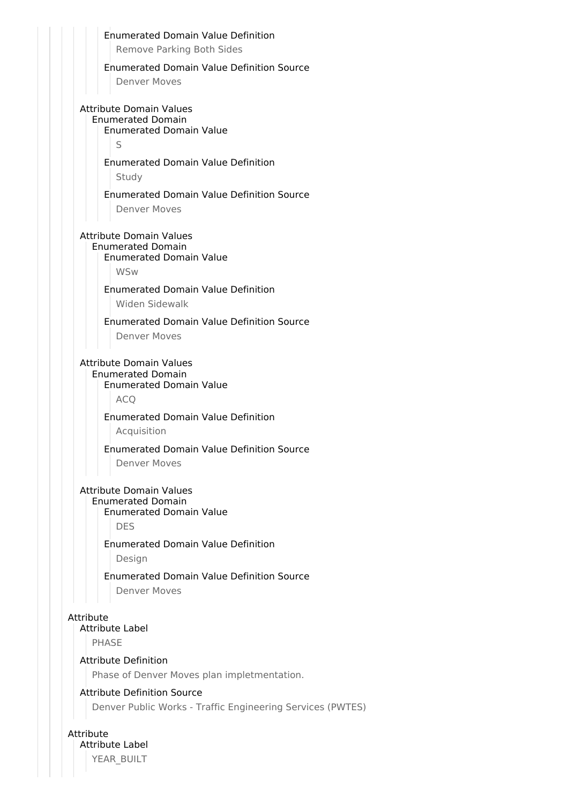|           | <b>Enumerated Domain Value Definition</b>                                                        |
|-----------|--------------------------------------------------------------------------------------------------|
|           | <b>Remove Parking Both Sides</b>                                                                 |
|           | <b>Enumerated Domain Value Definition Source</b>                                                 |
|           | <b>Denver Moves</b>                                                                              |
|           | <b>Attribute Domain Values</b>                                                                   |
|           | <b>Enumerated Domain</b><br><b>Enumerated Domain Value</b>                                       |
|           | S                                                                                                |
|           | <b>Enumerated Domain Value Definition</b>                                                        |
|           | Study                                                                                            |
|           | <b>Enumerated Domain Value Definition Source</b>                                                 |
|           | <b>Denver Moves</b>                                                                              |
|           | <b>Attribute Domain Values</b>                                                                   |
|           | <b>Enumerated Domain</b><br><b>Enumerated Domain Value</b><br><b>WSw</b>                         |
|           | <b>Enumerated Domain Value Definition</b>                                                        |
|           | Widen Sidewalk                                                                                   |
|           | <b>Enumerated Domain Value Definition Source</b>                                                 |
|           | <b>Denver Moves</b>                                                                              |
|           | <b>Enumerated Domain</b><br><b>Enumerated Domain Value</b><br><b>ACO</b>                         |
|           | <b>Enumerated Domain Value Definition</b>                                                        |
|           | Acquisition                                                                                      |
|           | <b>Enumerated Domain Value Definition Source</b><br>Denver Moves                                 |
|           | <b>Attribute Domain Values</b>                                                                   |
|           | <b>Enumerated Domain</b><br><b>Enumerated Domain Value</b>                                       |
|           | <b>DES</b>                                                                                       |
|           | <b>Enumerated Domain Value Definition</b><br>Design                                              |
|           |                                                                                                  |
|           | <b>Enumerated Domain Value Definition Source</b>                                                 |
|           | <b>Denver Moves</b>                                                                              |
|           |                                                                                                  |
|           | <b>Attribute Label</b>                                                                           |
| Attribute | <b>PHASE</b>                                                                                     |
|           | <b>Attribute Definition</b>                                                                      |
|           | Phase of Denver Moves plan impletmentation.                                                      |
|           | <b>Attribute Definition Source</b><br>Denver Public Works - Traffic Engineering Services (PWTES) |

YEAR\_BUILT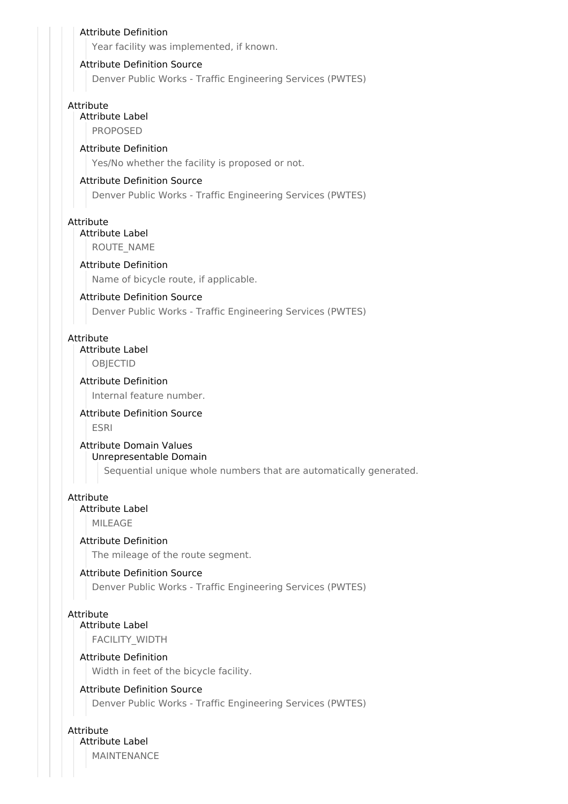# Attribute Definition Year facility was implemented, if known. Attribute Definition Source Denver Public Works - Traffic Engineering Services (PWTES) Attribute Attribute Label PROPOSED Attribute Definition Yes/No whether the facility is proposed or not. Attribute Definition Source Denver Public Works - Traffic Engineering Services (PWTES) Attribute Attribute Label ROUTE\_NAME Attribute Definition Name of bicycle route, if applicable. Attribute Definition Source Denver Public Works - Traffic Engineering Services (PWTES) Attribute Attribute Label **OBJECTID** Attribute Definition Internal feature number. Attribute Definition Source ESRI Attribute Domain Values Unrepresentable Domain Sequential unique whole numbers that are automatically generated. Attribute Attribute Label MILEAGE Attribute Definition The mileage of the route segment. Attribute Definition Source Denver Public Works - Traffic Engineering Services (PWTES) Attribute Attribute Label FACILITY\_WIDTH Attribute Definition Width in feet of the bicycle facility. Attribute Definition Source Denver Public Works - Traffic Engineering Services (PWTES)

Attribute Attribute Label

MAINTENANCE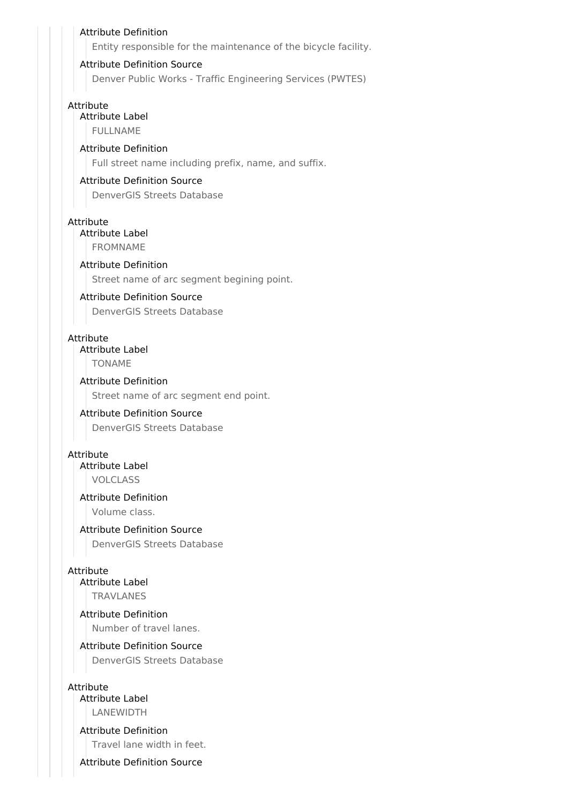#### Attribute Definition

Entity responsible for the maintenance of the bicycle facility.

#### Attribute Definition Source

Denver Public Works - Traffic Engineering Services (PWTES)

#### Attribute

Attribute Label

FULLNAME

### Attribute Definition

Full street name including prefix, name, and suffix.

### Attribute Definition Source

DenverGIS Streets Database

#### Attribute

Attribute Label FROMNAME

# Attribute Definition

Street name of arc segment begining point.

#### Attribute Definition Source

DenverGIS Streets Database

#### Attribute

#### Attribute Label

TONAME

#### Attribute Definition

Street name of arc segment end point.

### Attribute Definition Source

DenverGIS Streets Database

#### Attribute

Attribute Label

VOLCLASS

### Attribute Definition

Volume class.

#### Attribute Definition Source

DenverGIS Streets Database

#### Attribute

Attribute Label TRAVLANES

#### Attribute Definition Number of travel lanes.

#### Attribute Definition Source

DenverGIS Streets Database

#### Attribute

Attribute Label LANEWIDTH

#### Attribute Definition

Travel lane width in feet.

#### Attribute Definition Source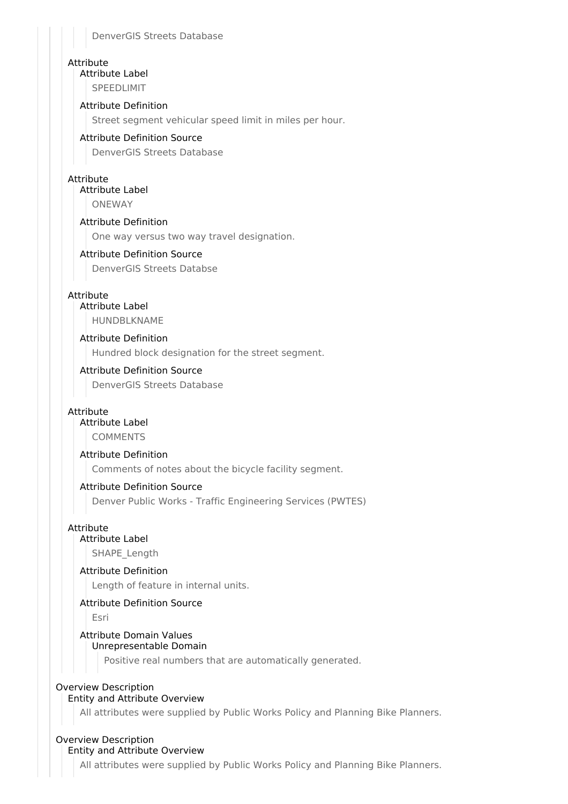DenverGIS Streets Database

### **Attribute**

Attribute Label SPEEDLIMIT

### Attribute Definition

Street segment vehicular speed limit in miles per hour.

### Attribute Definition Source

DenverGIS Streets Database

### Attribute

Attribute Label **ONEWAY** 

### Attribute Definition

One way versus two way travel designation.

### Attribute Definition Source

DenverGIS Streets Databse

### Attribute

### Attribute Label

HUNDBLKNAME

### Attribute Definition

Hundred block designation for the street segment.

### Attribute Definition Source

DenverGIS Streets Database

### Attribute

### Attribute Label

COMMENTS

### Attribute Definition

Comments of notes about the bicycle facility segment.

### Attribute Definition Source

Denver Public Works - Traffic Engineering Services (PWTES)

### Attribute

### Attribute Label

SHAPE\_Length

### Attribute Definition

Length of feature in internal units.

### Attribute Definition Source

Esri

#### Attribute Domain Values Unrepresentable Domain

Positive real numbers that are automatically generated.

### Overview Description

### Entity and Attribute Overview

All attributes were supplied by Public Works Policy and Planning Bike Planners.

#### Overview Description Entity and Attribute Overview

All attributes were supplied by Public Works Policy and Planning Bike Planners.